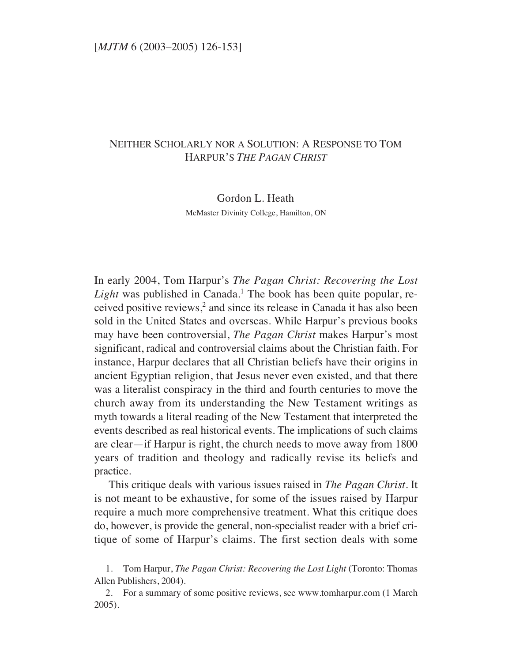## NEITHER SCHOLARLY NOR A SOLUTION: A RESPONSE TO TOM HARPUR'S *THE PAGAN CHRIST*

Gordon L. Heath

McMaster Divinity College, Hamilton, ON

In early 2004, Tom Harpur's *The Pagan Christ: Recovering the Lost Light* was published in Canada.<sup>1</sup> The book has been quite popular, received positive reviews,<sup>2</sup> and since its release in Canada it has also been sold in the United States and overseas. While Harpur's previous books may have been controversial, *The Pagan Christ* makes Harpur's most significant, radical and controversial claims about the Christian faith. For instance, Harpur declares that all Christian beliefs have their origins in ancient Egyptian religion, that Jesus never even existed, and that there was a literalist conspiracy in the third and fourth centuries to move the church away from its understanding the New Testament writings as myth towards a literal reading of the New Testament that interpreted the events described as real historical events. The implications of such claims are clear—if Harpur is right, the church needs to move away from 1800 years of tradition and theology and radically revise its beliefs and practice.

This critique deals with various issues raised in *The Pagan Christ*. It is not meant to be exhaustive, for some of the issues raised by Harpur require a much more comprehensive treatment. What this critique does do, however, is provide the general, non-specialist reader with a brief critique of some of Harpur's claims. The first section deals with some

<sup>1.</sup> Tom Harpur, *The Pagan Christ: Recovering the Lost Light* (Toronto: Thomas Allen Publishers, 2004).

<sup>2.</sup> For a summary of some positive reviews, see www.tomharpur.com (1 March 2005).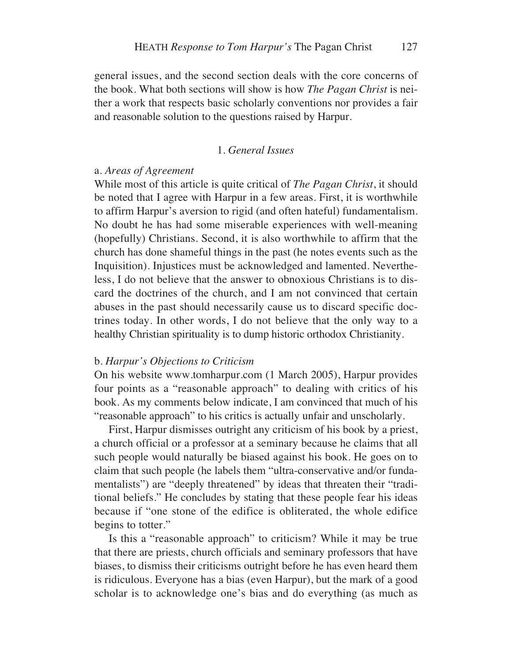general issues, and the second section deals with the core concerns of the book. What both sections will show is how *The Pagan Christ* is neither a work that respects basic scholarly conventions nor provides a fair and reasonable solution to the questions raised by Harpur.

## 1. *General Issues*

## a. *Areas of Agreement*

While most of this article is quite critical of *The Pagan Christ*, it should be noted that I agree with Harpur in a few areas. First, it is worthwhile to affirm Harpur's aversion to rigid (and often hateful) fundamentalism. No doubt he has had some miserable experiences with well-meaning (hopefully) Christians. Second, it is also worthwhile to affirm that the church has done shameful things in the past (he notes events such as the Inquisition). Injustices must be acknowledged and lamented. Nevertheless, I do not believe that the answer to obnoxious Christians is to discard the doctrines of the church, and I am not convinced that certain abuses in the past should necessarily cause us to discard specific doctrines today. In other words, I do not believe that the only way to a healthy Christian spirituality is to dump historic orthodox Christianity.

#### b. *Harpur's Objections to Criticism*

On his website www.tomharpur.com (1 March 2005), Harpur provides four points as a "reasonable approach" to dealing with critics of his book. As my comments below indicate, I am convinced that much of his "reasonable approach" to his critics is actually unfair and unscholarly.

First, Harpur dismisses outright any criticism of his book by a priest, a church official or a professor at a seminary because he claims that all such people would naturally be biased against his book. He goes on to claim that such people (he labels them "ultra-conservative and/or fundamentalists") are "deeply threatened" by ideas that threaten their "traditional beliefs." He concludes by stating that these people fear his ideas because if "one stone of the edifice is obliterated, the whole edifice begins to totter."

Is this a "reasonable approach" to criticism? While it may be true that there are priests, church officials and seminary professors that have biases, to dismiss their criticisms outright before he has even heard them is ridiculous. Everyone has a bias (even Harpur), but the mark of a good scholar is to acknowledge one's bias and do everything (as much as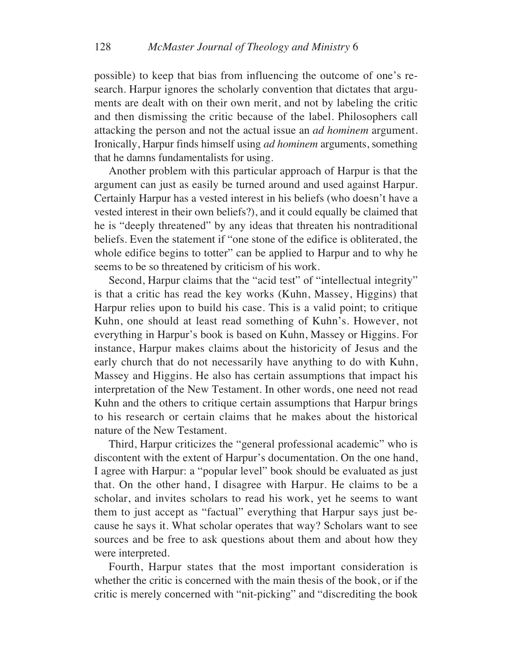possible) to keep that bias from influencing the outcome of one's research. Harpur ignores the scholarly convention that dictates that arguments are dealt with on their own merit, and not by labeling the critic and then dismissing the critic because of the label. Philosophers call attacking the person and not the actual issue an *ad hominem* argument. Ironically, Harpur finds himself using *ad hominem* arguments, something that he damns fundamentalists for using.

Another problem with this particular approach of Harpur is that the argument can just as easily be turned around and used against Harpur. Certainly Harpur has a vested interest in his beliefs (who doesn't have a vested interest in their own beliefs?), and it could equally be claimed that he is "deeply threatened" by any ideas that threaten his nontraditional beliefs. Even the statement if "one stone of the edifice is obliterated, the whole edifice begins to totter" can be applied to Harpur and to why he seems to be so threatened by criticism of his work.

Second, Harpur claims that the "acid test" of "intellectual integrity" is that a critic has read the key works (Kuhn, Massey, Higgins) that Harpur relies upon to build his case. This is a valid point; to critique Kuhn, one should at least read something of Kuhn's. However, not everything in Harpur's book is based on Kuhn, Massey or Higgins. For instance, Harpur makes claims about the historicity of Jesus and the early church that do not necessarily have anything to do with Kuhn, Massey and Higgins. He also has certain assumptions that impact his interpretation of the New Testament. In other words, one need not read Kuhn and the others to critique certain assumptions that Harpur brings to his research or certain claims that he makes about the historical nature of the New Testament.

Third, Harpur criticizes the "general professional academic" who is discontent with the extent of Harpur's documentation. On the one hand, I agree with Harpur: a "popular level" book should be evaluated as just that. On the other hand, I disagree with Harpur. He claims to be a scholar, and invites scholars to read his work, yet he seems to want them to just accept as "factual" everything that Harpur says just because he says it. What scholar operates that way? Scholars want to see sources and be free to ask questions about them and about how they were interpreted.

Fourth, Harpur states that the most important consideration is whether the critic is concerned with the main thesis of the book, or if the critic is merely concerned with "nit-picking" and "discrediting the book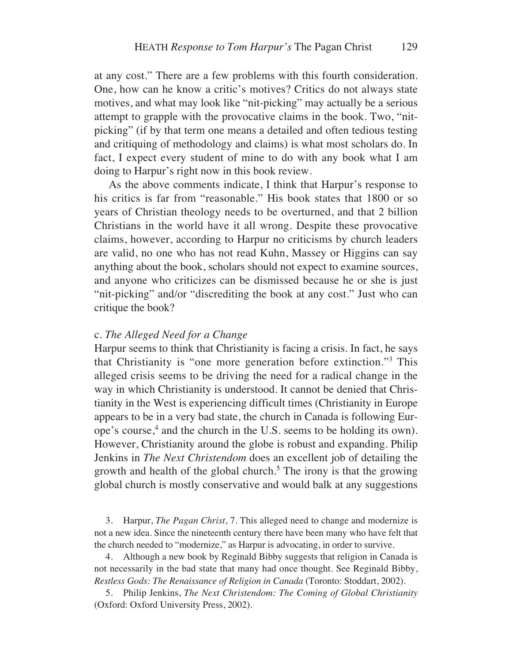at any cost." There are a few problems with this fourth consideration. One, how can he know a critic's motives? Critics do not always state motives, and what may look like "nit-picking" may actually be a serious attempt to grapple with the provocative claims in the book. Two, "nitpicking" (if by that term one means a detailed and often tedious testing and critiquing of methodology and claims) is what most scholars do. In fact, I expect every student of mine to do with any book what I am doing to Harpur's right now in this book review.

As the above comments indicate, I think that Harpur's response to his critics is far from "reasonable." His book states that 1800 or so years of Christian theology needs to be overturned, and that 2 billion Christians in the world have it all wrong. Despite these provocative claims, however, according to Harpur no criticisms by church leaders are valid, no one who has not read Kuhn, Massey or Higgins can say anything about the book, scholars should not expect to examine sources, and anyone who criticizes can be dismissed because he or she is just "nit-picking" and/or "discrediting the book at any cost." Just who can critique the book?

### c. *The Alleged Need for a Change*

Harpur seems to think that Christianity is facing a crisis. In fact, he says that Christianity is "one more generation before extinction."3 This alleged crisis seems to be driving the need for a radical change in the way in which Christianity is understood. It cannot be denied that Christianity in the West is experiencing difficult times (Christianity in Europe appears to be in a very bad state, the church in Canada is following Europe's course,<sup>4</sup> and the church in the U.S. seems to be holding its own). However, Christianity around the globe is robust and expanding. Philip Jenkins in *The Next Christendom* does an excellent job of detailing the growth and health of the global church.<sup>5</sup> The irony is that the growing global church is mostly conservative and would balk at any suggestions

3. Harpur, *The Pagan Christ*, 7. This alleged need to change and modernize is not a new idea. Since the nineteenth century there have been many who have felt that the church needed to "modernize," as Harpur is advocating, in order to survive.

4. Although a new book by Reginald Bibby suggests that religion in Canada is not necessarily in the bad state that many had once thought. See Reginald Bibby, *Restless Gods: The Renaissance of Religion in Canada* (Toronto: Stoddart, 2002).

5. Philip Jenkins, *The Next Christendom: The Coming of Global Christianity* (Oxford: Oxford University Press, 2002).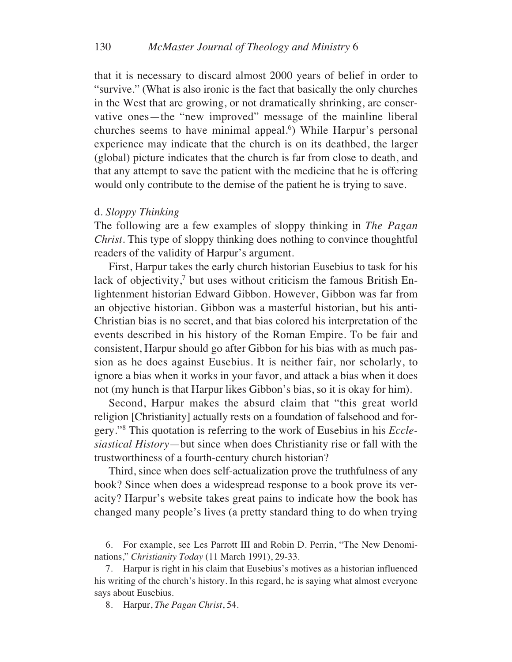that it is necessary to discard almost 2000 years of belief in order to "survive." (What is also ironic is the fact that basically the only churches in the West that are growing, or not dramatically shrinking, are conservative ones—the "new improved" message of the mainline liberal churches seems to have minimal appeal.<sup>6</sup>) While Harpur's personal experience may indicate that the church is on its deathbed, the larger (global) picture indicates that the church is far from close to death, and that any attempt to save the patient with the medicine that he is offering would only contribute to the demise of the patient he is trying to save.

#### d. *Sloppy Thinking*

The following are a few examples of sloppy thinking in *The Pagan Christ*. This type of sloppy thinking does nothing to convince thoughtful readers of the validity of Harpur's argument.

First, Harpur takes the early church historian Eusebius to task for his lack of objectivity,<sup>7</sup> but uses without criticism the famous British Enlightenment historian Edward Gibbon. However, Gibbon was far from an objective historian. Gibbon was a masterful historian, but his anti-Christian bias is no secret, and that bias colored his interpretation of the events described in his history of the Roman Empire. To be fair and consistent, Harpur should go after Gibbon for his bias with as much passion as he does against Eusebius. It is neither fair, nor scholarly, to ignore a bias when it works in your favor, and attack a bias when it does not (my hunch is that Harpur likes Gibbon's bias, so it is okay for him).

Second, Harpur makes the absurd claim that "this great world religion [Christianity] actually rests on a foundation of falsehood and forgery."8 This quotation is referring to the work of Eusebius in his *Ecclesiastical History*—but since when does Christianity rise or fall with the trustworthiness of a fourth-century church historian?

Third, since when does self-actualization prove the truthfulness of any book? Since when does a widespread response to a book prove its veracity? Harpur's website takes great pains to indicate how the book has changed many people's lives (a pretty standard thing to do when trying

6. For example, see Les Parrott III and Robin D. Perrin, "The New Denominations," *Christianity Today* (11 March 1991), 29-33.

7. Harpur is right in his claim that Eusebius's motives as a historian influenced his writing of the church's history. In this regard, he is saying what almost everyone says about Eusebius.

8. Harpur, *The Pagan Christ*, 54.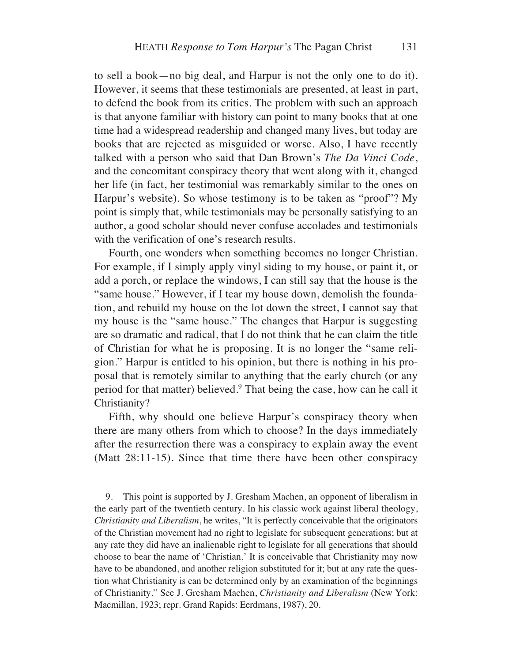to sell a book—no big deal, and Harpur is not the only one to do it). However, it seems that these testimonials are presented, at least in part, to defend the book from its critics. The problem with such an approach is that anyone familiar with history can point to many books that at one time had a widespread readership and changed many lives, but today are books that are rejected as misguided or worse. Also, I have recently talked with a person who said that Dan Brown's *The Da Vinci Code*, and the concomitant conspiracy theory that went along with it, changed her life (in fact, her testimonial was remarkably similar to the ones on Harpur's website). So whose testimony is to be taken as "proof"? My point is simply that, while testimonials may be personally satisfying to an author, a good scholar should never confuse accolades and testimonials with the verification of one's research results.

Fourth, one wonders when something becomes no longer Christian. For example, if I simply apply vinyl siding to my house, or paint it, or add a porch, or replace the windows, I can still say that the house is the "same house." However, if I tear my house down, demolish the foundation, and rebuild my house on the lot down the street, I cannot say that my house is the "same house." The changes that Harpur is suggesting are so dramatic and radical, that I do not think that he can claim the title of Christian for what he is proposing. It is no longer the "same religion." Harpur is entitled to his opinion, but there is nothing in his proposal that is remotely similar to anything that the early church (or any period for that matter) believed.<sup>9</sup> That being the case, how can he call it Christianity?

Fifth, why should one believe Harpur's conspiracy theory when there are many others from which to choose? In the days immediately after the resurrection there was a conspiracy to explain away the event (Matt 28:11-15). Since that time there have been other conspiracy

9. This point is supported by J. Gresham Machen, an opponent of liberalism in the early part of the twentieth century. In his classic work against liberal theology, *Christianity and Liberalism*, he writes, "It is perfectly conceivable that the originators of the Christian movement had no right to legislate for subsequent generations; but at any rate they did have an inalienable right to legislate for all generations that should choose to bear the name of 'Christian.' It is conceivable that Christianity may now have to be abandoned, and another religion substituted for it; but at any rate the question what Christianity is can be determined only by an examination of the beginnings of Christianity." See J. Gresham Machen, *Christianity and Liberalism* (New York: Macmillan, 1923; repr. Grand Rapids: Eerdmans, 1987), 20.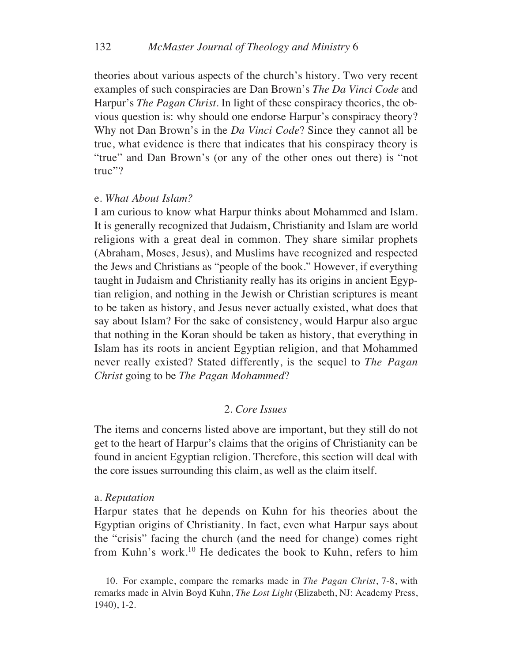theories about various aspects of the church's history. Two very recent examples of such conspiracies are Dan Brown's *The Da Vinci Code* and Harpur's *The Pagan Christ*. In light of these conspiracy theories, the obvious question is: why should one endorse Harpur's conspiracy theory? Why not Dan Brown's in the *Da Vinci Code*? Since they cannot all be true, what evidence is there that indicates that his conspiracy theory is "true" and Dan Brown's (or any of the other ones out there) is "not true"?

#### e. *What About Islam?*

I am curious to know what Harpur thinks about Mohammed and Islam. It is generally recognized that Judaism, Christianity and Islam are world religions with a great deal in common. They share similar prophets (Abraham, Moses, Jesus), and Muslims have recognized and respected the Jews and Christians as "people of the book." However, if everything taught in Judaism and Christianity really has its origins in ancient Egyptian religion, and nothing in the Jewish or Christian scriptures is meant to be taken as history, and Jesus never actually existed, what does that say about Islam? For the sake of consistency, would Harpur also argue that nothing in the Koran should be taken as history, that everything in Islam has its roots in ancient Egyptian religion, and that Mohammed never really existed? Stated differently, is the sequel to *The Pagan Christ* going to be *The Pagan Mohammed*?

### 2. *Core Issues*

The items and concerns listed above are important, but they still do not get to the heart of Harpur's claims that the origins of Christianity can be found in ancient Egyptian religion. Therefore, this section will deal with the core issues surrounding this claim, as well as the claim itself.

#### a. *Reputation*

Harpur states that he depends on Kuhn for his theories about the Egyptian origins of Christianity. In fact, even what Harpur says about the "crisis" facing the church (and the need for change) comes right from Kuhn's work.10 He dedicates the book to Kuhn, refers to him

<sup>10.</sup> For example, compare the remarks made in *The Pagan Christ*, 7-8, with remarks made in Alvin Boyd Kuhn, *The Lost Light* (Elizabeth, NJ: Academy Press, 1940), 1-2.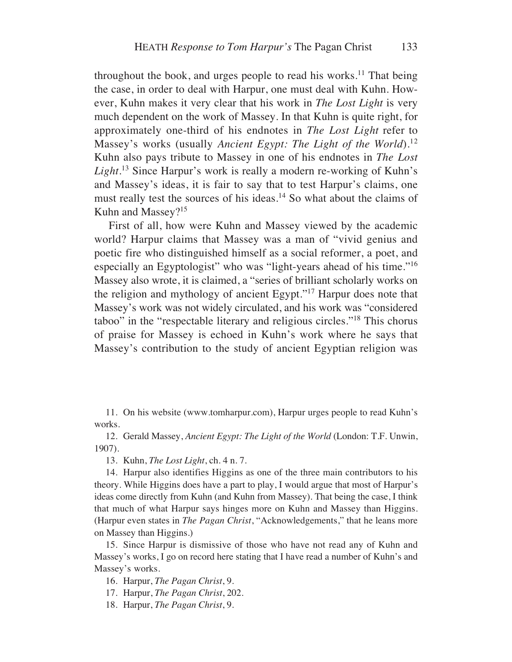throughout the book, and urges people to read his works. $^{11}$  That being the case, in order to deal with Harpur, one must deal with Kuhn. However, Kuhn makes it very clear that his work in *The Lost Light* is very much dependent on the work of Massey. In that Kuhn is quite right, for approximately one-third of his endnotes in *The Lost Light* refer to Massey's works (usually *Ancient Egypt: The Light of the World*).12 Kuhn also pays tribute to Massey in one of his endnotes in *The Lost Light*. <sup>13</sup> Since Harpur's work is really a modern re-working of Kuhn's and Massey's ideas, it is fair to say that to test Harpur's claims, one must really test the sources of his ideas.<sup>14</sup> So what about the claims of Kuhn and Massey?15

First of all, how were Kuhn and Massey viewed by the academic world? Harpur claims that Massey was a man of "vivid genius and poetic fire who distinguished himself as a social reformer, a poet, and especially an Egyptologist" who was "light-years ahead of his time."16 Massey also wrote, it is claimed, a "series of brilliant scholarly works on the religion and mythology of ancient Egypt."17 Harpur does note that Massey's work was not widely circulated, and his work was "considered taboo" in the "respectable literary and religious circles."18 This chorus of praise for Massey is echoed in Kuhn's work where he says that Massey's contribution to the study of ancient Egyptian religion was

11. On his website (www.tomharpur.com), Harpur urges people to read Kuhn's works.

12. Gerald Massey, *Ancient Egypt: The Light of the World* (London: T.F. Unwin, 1907).

13. Kuhn, *The Lost Light*, ch. 4 n. 7.

14. Harpur also identifies Higgins as one of the three main contributors to his theory. While Higgins does have a part to play, I would argue that most of Harpur's ideas come directly from Kuhn (and Kuhn from Massey). That being the case, I think that much of what Harpur says hinges more on Kuhn and Massey than Higgins. (Harpur even states in *The Pagan Christ*, "Acknowledgements," that he leans more on Massey than Higgins.)

15. Since Harpur is dismissive of those who have not read any of Kuhn and Massey's works, I go on record here stating that I have read a number of Kuhn's and Massey's works.

16. Harpur, *The Pagan Christ*, 9.

17. Harpur, *The Pagan Christ*, 202.

18. Harpur, *The Pagan Christ*, 9.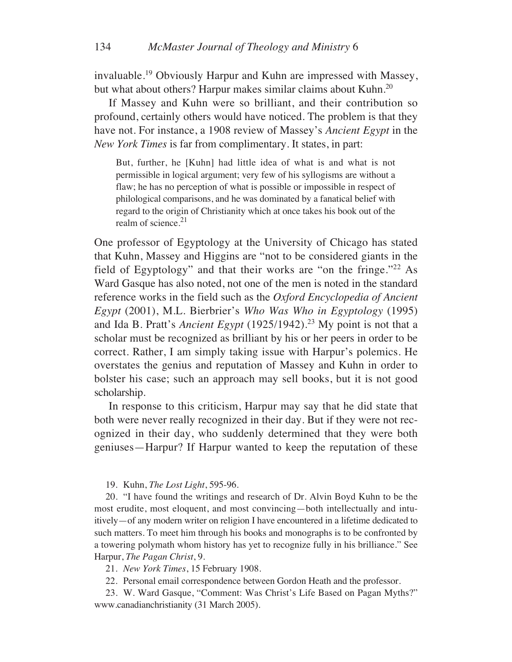invaluable.19 Obviously Harpur and Kuhn are impressed with Massey, but what about others? Harpur makes similar claims about Kuhn.<sup>20</sup>

If Massey and Kuhn were so brilliant, and their contribution so profound, certainly others would have noticed. The problem is that they have not. For instance, a 1908 review of Massey's *Ancient Egypt* in the *New York Times* is far from complimentary. It states, in part:

But, further, he [Kuhn] had little idea of what is and what is not permissible in logical argument; very few of his syllogisms are without a flaw; he has no perception of what is possible or impossible in respect of philological comparisons, and he was dominated by a fanatical belief with regard to the origin of Christianity which at once takes his book out of the realm of science. $21$ 

One professor of Egyptology at the University of Chicago has stated that Kuhn, Massey and Higgins are "not to be considered giants in the field of Egyptology" and that their works are "on the fringe."22 As Ward Gasque has also noted, not one of the men is noted in the standard reference works in the field such as the *Oxford Encyclopedia of Ancient Egypt* (2001), M.L. Bierbrier's *Who Was Who in Egyptology* (1995) and Ida B. Pratt's *Ancient Egypt* (1925/1942).23 My point is not that a scholar must be recognized as brilliant by his or her peers in order to be correct. Rather, I am simply taking issue with Harpur's polemics. He overstates the genius and reputation of Massey and Kuhn in order to bolster his case; such an approach may sell books, but it is not good scholarship.

In response to this criticism, Harpur may say that he did state that both were never really recognized in their day. But if they were not recognized in their day, who suddenly determined that they were both geniuses—Harpur? If Harpur wanted to keep the reputation of these

#### 19. Kuhn, *The Lost Light*, 595-96.

20. "I have found the writings and research of Dr. Alvin Boyd Kuhn to be the most erudite, most eloquent, and most convincing—both intellectually and intuitively—of any modern writer on religion I have encountered in a lifetime dedicated to such matters. To meet him through his books and monographs is to be confronted by a towering polymath whom history has yet to recognize fully in his brilliance." See Harpur, *The Pagan Christ*, 9.

21. *New York Times*, 15 February 1908.

22. Personal email correspondence between Gordon Heath and the professor.

23. W. Ward Gasque, "Comment: Was Christ's Life Based on Pagan Myths?" www.canadianchristianity (31 March 2005).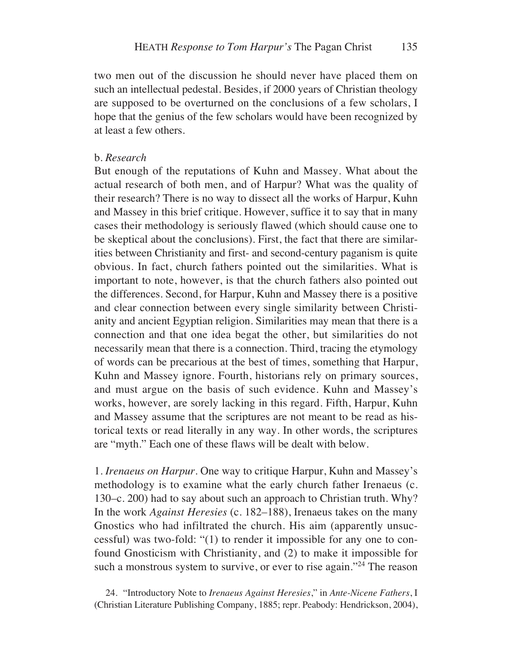two men out of the discussion he should never have placed them on such an intellectual pedestal. Besides, if 2000 years of Christian theology are supposed to be overturned on the conclusions of a few scholars, I hope that the genius of the few scholars would have been recognized by at least a few others.

### b. *Research*

But enough of the reputations of Kuhn and Massey. What about the actual research of both men, and of Harpur? What was the quality of their research? There is no way to dissect all the works of Harpur, Kuhn and Massey in this brief critique. However, suffice it to say that in many cases their methodology is seriously flawed (which should cause one to be skeptical about the conclusions). First, the fact that there are similarities between Christianity and first- and second-century paganism is quite obvious. In fact, church fathers pointed out the similarities. What is important to note, however, is that the church fathers also pointed out the differences. Second, for Harpur, Kuhn and Massey there is a positive and clear connection between every single similarity between Christianity and ancient Egyptian religion. Similarities may mean that there is a connection and that one idea begat the other, but similarities do not necessarily mean that there is a connection. Third, tracing the etymology of words can be precarious at the best of times, something that Harpur, Kuhn and Massey ignore. Fourth, historians rely on primary sources, and must argue on the basis of such evidence. Kuhn and Massey's works, however, are sorely lacking in this regard. Fifth, Harpur, Kuhn and Massey assume that the scriptures are not meant to be read as historical texts or read literally in any way. In other words, the scriptures are "myth." Each one of these flaws will be dealt with below.

1. *Irenaeus on Harpur*. One way to critique Harpur, Kuhn and Massey's methodology is to examine what the early church father Irenaeus (c. 130–c. 200) had to say about such an approach to Christian truth. Why? In the work *Against Heresies* (c. 182–188), Irenaeus takes on the many Gnostics who had infiltrated the church. His aim (apparently unsuccessful) was two-fold: "(1) to render it impossible for any one to confound Gnosticism with Christianity, and (2) to make it impossible for such a monstrous system to survive, or ever to rise again."<sup>24</sup> The reason

24. "Introductory Note to *Irenaeus Against Heresies*," in *Ante-Nicene Fathers*, I (Christian Literature Publishing Company, 1885; repr. Peabody: Hendrickson, 2004),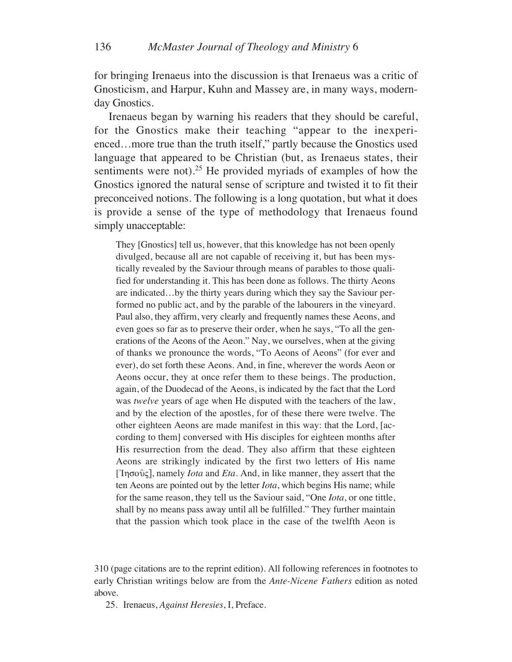for bringing Irenaeus into the discussion is that Irenaeus was a critic of Gnosticism, and Harpur, Kuhn and Massey are, in many ways, modernday Gnostics.

Irenaeus began by warning his readers that they should be careful, for the Gnostics make their teaching "appear to the inexperienced…more true than the truth itself," partly because the Gnostics used language that appeared to be Christian (but, as Irenaeus states, their sentiments were not).<sup>25</sup> He provided myriads of examples of how the Gnostics ignored the natural sense of scripture and twisted it to fit their preconceived notions. The following is a long quotation, but what it does is provide a sense of the type of methodology that Irenaeus found simply unacceptable:

They [Gnostics] tell us, however, that this knowledge has not been openly divulged, because all are not capable of receiving it, but has been mystically revealed by the Saviour through means of parables to those qualified for understanding it. This has been done as follows. The thirty Aeons are indicated…by the thirty years during which they say the Saviour performed no public act, and by the parable of the labourers in the vineyard. Paul also, they affirm, very clearly and frequently names these Aeons, and even goes so far as to preserve their order, when he says, "To all the generations of the Aeons of the Aeon." Nay, we ourselves, when at the giving of thanks we pronounce the words, "To Aeons of Aeons" (for ever and ever), do set forth these Aeons. And, in fine, wherever the words Aeon or Aeons occur, they at once refer them to these beings. The production, again, of the Duodecad of the Aeons, is indicated by the fact that the Lord was *twelve* years of age when He disputed with the teachers of the law, and by the election of the apostles, for of these there were twelve. The other eighteen Aeons are made manifest in this way: that the Lord, [according to them] conversed with His disciples for eighteen months after His resurrection from the dead. They also affirm that these eighteen Aeons are strikingly indicated by the first two letters of His name ['Iησοῦς], namely *Iota* and *Eta*. And, in like manner, they assert that the ten Aeons are pointed out by the letter *Iota*, which begins His name; while for the same reason, they tell us the Saviour said, "One *Iota*, or one tittle, shall by no means pass away until all be fulfilled." They further maintain that the passion which took place in the case of the twelfth Aeon is

310 (page citations are to the reprint edition). All following references in footnotes to early Christian writings below are from the *Ante-Nicene Fathers* edition as noted above.

25. Irenaeus, *Against Heresies*, I, Preface.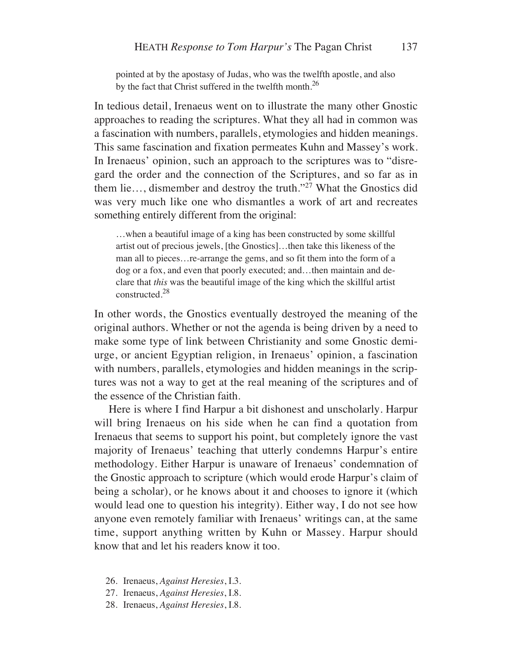pointed at by the apostasy of Judas, who was the twelfth apostle, and also by the fact that Christ suffered in the twelfth month.<sup>26</sup>

In tedious detail, Irenaeus went on to illustrate the many other Gnostic approaches to reading the scriptures. What they all had in common was a fascination with numbers, parallels, etymologies and hidden meanings. This same fascination and fixation permeates Kuhn and Massey's work. In Irenaeus' opinion, such an approach to the scriptures was to "disregard the order and the connection of the Scriptures, and so far as in them lie…, dismember and destroy the truth."27 What the Gnostics did was very much like one who dismantles a work of art and recreates something entirely different from the original:

…when a beautiful image of a king has been constructed by some skillful artist out of precious jewels, [the Gnostics]…then take this likeness of the man all to pieces…re-arrange the gems, and so fit them into the form of a dog or a fox, and even that poorly executed; and…then maintain and declare that *this* was the beautiful image of the king which the skillful artist constructed.28

In other words, the Gnostics eventually destroyed the meaning of the original authors. Whether or not the agenda is being driven by a need to make some type of link between Christianity and some Gnostic demiurge, or ancient Egyptian religion, in Irenaeus' opinion, a fascination with numbers, parallels, etymologies and hidden meanings in the scriptures was not a way to get at the real meaning of the scriptures and of the essence of the Christian faith.

Here is where I find Harpur a bit dishonest and unscholarly. Harpur will bring Irenaeus on his side when he can find a quotation from Irenaeus that seems to support his point, but completely ignore the vast majority of Irenaeus' teaching that utterly condemns Harpur's entire methodology. Either Harpur is unaware of Irenaeus' condemnation of the Gnostic approach to scripture (which would erode Harpur's claim of being a scholar), or he knows about it and chooses to ignore it (which would lead one to question his integrity). Either way, I do not see how anyone even remotely familiar with Irenaeus' writings can, at the same time, support anything written by Kuhn or Massey. Harpur should know that and let his readers know it too.

- 26. Irenaeus, *Against Heresies*, I.3.
- 27. Irenaeus, *Against Heresies*, I.8.
- 28. Irenaeus, *Against Heresies*, I.8.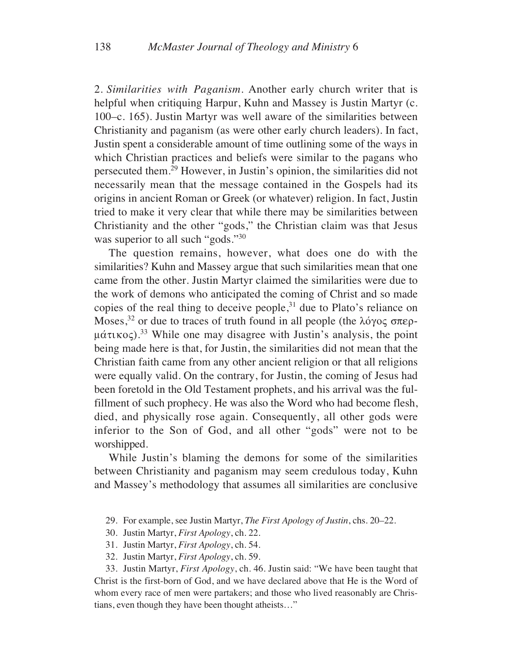2. *Similarities with Paganism*. Another early church writer that is helpful when critiquing Harpur, Kuhn and Massey is Justin Martyr (c. 100–c. 165). Justin Martyr was well aware of the similarities between Christianity and paganism (as were other early church leaders). In fact, Justin spent a considerable amount of time outlining some of the ways in which Christian practices and beliefs were similar to the pagans who persecuted them.29 However, in Justin's opinion, the similarities did not necessarily mean that the message contained in the Gospels had its origins in ancient Roman or Greek (or whatever) religion. In fact, Justin tried to make it very clear that while there may be similarities between Christianity and the other "gods," the Christian claim was that Jesus was superior to all such "gods."<sup>30</sup>

The question remains, however, what does one do with the similarities? Kuhn and Massey argue that such similarities mean that one came from the other. Justin Martyr claimed the similarities were due to the work of demons who anticipated the coming of Christ and so made copies of the real thing to deceive people, $31$  due to Plato's reliance on Moses,<sup>32</sup> or due to traces of truth found in all people (the  $\lambda$ ó $\gamma$ o $\varsigma$   $\sigma$ περ- $\mu$ άτικος).<sup>33</sup> While one may disagree with Justin's analysis, the point being made here is that, for Justin, the similarities did not mean that the Christian faith came from any other ancient religion or that all religions were equally valid. On the contrary, for Justin, the coming of Jesus had been foretold in the Old Testament prophets, and his arrival was the fulfillment of such prophecy. He was also the Word who had become flesh, died, and physically rose again. Consequently, all other gods were inferior to the Son of God, and all other "gods" were not to be worshipped.

While Justin's blaming the demons for some of the similarities between Christianity and paganism may seem credulous today, Kuhn and Massey's methodology that assumes all similarities are conclusive

29. For example, see Justin Martyr, *The First Apology of Justin*, chs. 20–22.

- 30. Justin Martyr, *First Apology*, ch. 22.
- 31. Justin Martyr, *First Apology*, ch. 54.
- 32. Justin Martyr, *First Apology*, ch. 59.

33. Justin Martyr, *First Apology*, ch. 46. Justin said: "We have been taught that Christ is the first-born of God, and we have declared above that He is the Word of whom every race of men were partakers; and those who lived reasonably are Christians, even though they have been thought atheists…"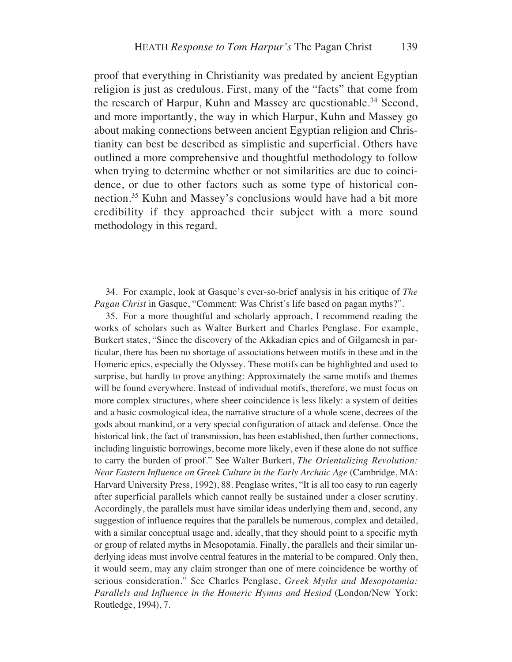proof that everything in Christianity was predated by ancient Egyptian religion is just as credulous. First, many of the "facts" that come from the research of Harpur, Kuhn and Massey are questionable.<sup>34</sup> Second, and more importantly, the way in which Harpur, Kuhn and Massey go about making connections between ancient Egyptian religion and Christianity can best be described as simplistic and superficial. Others have outlined a more comprehensive and thoughtful methodology to follow when trying to determine whether or not similarities are due to coincidence, or due to other factors such as some type of historical connection.35 Kuhn and Massey's conclusions would have had a bit more credibility if they approached their subject with a more sound methodology in this regard.

34. For example, look at Gasque's ever-so-brief analysis in his critique of *The Pagan Christ* in Gasque, "Comment: Was Christ's life based on pagan myths?".

35. For a more thoughtful and scholarly approach, I recommend reading the works of scholars such as Walter Burkert and Charles Penglase. For example, Burkert states, "Since the discovery of the Akkadian epics and of Gilgamesh in particular, there has been no shortage of associations between motifs in these and in the Homeric epics, especially the Odyssey. These motifs can be highlighted and used to surprise, but hardly to prove anything: Approximately the same motifs and themes will be found everywhere. Instead of individual motifs, therefore, we must focus on more complex structures, where sheer coincidence is less likely: a system of deities and a basic cosmological idea, the narrative structure of a whole scene, decrees of the gods about mankind, or a very special configuration of attack and defense. Once the historical link, the fact of transmission, has been established, then further connections, including linguistic borrowings, become more likely, even if these alone do not suffice to carry the burden of proof." See Walter Burkert, *The Orientalizing Revolution: Near Eastern Influence on Greek Culture in the Early Archaic Age* (Cambridge, MA: Harvard University Press, 1992), 88. Penglase writes, "It is all too easy to run eagerly after superficial parallels which cannot really be sustained under a closer scrutiny. Accordingly, the parallels must have similar ideas underlying them and, second, any suggestion of influence requires that the parallels be numerous, complex and detailed, with a similar conceptual usage and, ideally, that they should point to a specific myth or group of related myths in Mesopotamia. Finally, the parallels and their similar underlying ideas must involve central features in the material to be compared. Only then, it would seem, may any claim stronger than one of mere coincidence be worthy of serious consideration." See Charles Penglase, *Greek Myths and Mesopotamia: Parallels and Influence in the Homeric Hymns and Hesiod* (London/New York: Routledge, 1994), 7.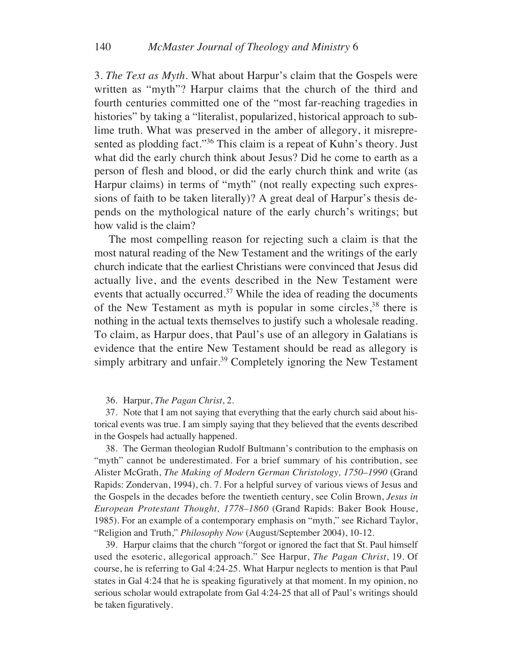3. *The Text as Myth*. What about Harpur's claim that the Gospels were written as "myth"? Harpur claims that the church of the third and fourth centuries committed one of the "most far-reaching tragedies in histories" by taking a "literalist, popularized, historical approach to sublime truth. What was preserved in the amber of allegory, it misrepresented as plodding fact."36 This claim is a repeat of Kuhn's theory. Just what did the early church think about Jesus? Did he come to earth as a person of flesh and blood, or did the early church think and write (as Harpur claims) in terms of "myth" (not really expecting such expressions of faith to be taken literally)? A great deal of Harpur's thesis depends on the mythological nature of the early church's writings; but how valid is the claim?

The most compelling reason for rejecting such a claim is that the most natural reading of the New Testament and the writings of the early church indicate that the earliest Christians were convinced that Jesus did actually live, and the events described in the New Testament were events that actually occurred.<sup>37</sup> While the idea of reading the documents of the New Testament as myth is popular in some circles,<sup>38</sup> there is nothing in the actual texts themselves to justify such a wholesale reading. To claim, as Harpur does, that Paul's use of an allegory in Galatians is evidence that the entire New Testament should be read as allegory is simply arbitrary and unfair.<sup>39</sup> Completely ignoring the New Testament

#### 36. Harpur, *The Pagan Christ*, 2.

37. Note that I am not saying that everything that the early church said about historical events was true. I am simply saying that they believed that the events described in the Gospels had actually happened.

38. The German theologian Rudolf Bultmann's contribution to the emphasis on "myth" cannot be underestimated. For a brief summary of his contribution, see Alister McGrath, *The Making of Modern German Christology, 1750–1990* (Grand Rapids: Zondervan, 1994), ch. 7. For a helpful survey of various views of Jesus and the Gospels in the decades before the twentieth century, see Colin Brown, *Jesus in European Protestant Thought, 1778–1860* (Grand Rapids: Baker Book House, 1985). For an example of a contemporary emphasis on "myth," see Richard Taylor, "Religion and Truth," *Philosophy Now* (August/September 2004), 10-12.

39. Harpur claims that the church "forgot or ignored the fact that St. Paul himself used the esoteric, allegorical approach." See Harpur, *The Pagan Christ*, 19. Of course, he is referring to Gal 4:24-25. What Harpur neglects to mention is that Paul states in Gal 4:24 that he is speaking figuratively at that moment. In my opinion, no serious scholar would extrapolate from Gal 4:24-25 that all of Paul's writings should be taken figuratively.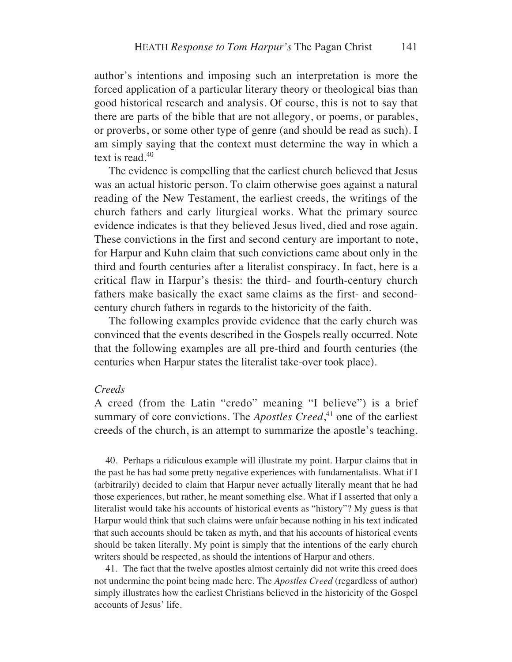author's intentions and imposing such an interpretation is more the forced application of a particular literary theory or theological bias than good historical research and analysis. Of course, this is not to say that there are parts of the bible that are not allegory, or poems, or parables, or proverbs, or some other type of genre (and should be read as such). I am simply saying that the context must determine the way in which a text is read.40

The evidence is compelling that the earliest church believed that Jesus was an actual historic person. To claim otherwise goes against a natural reading of the New Testament, the earliest creeds, the writings of the church fathers and early liturgical works. What the primary source evidence indicates is that they believed Jesus lived, died and rose again. These convictions in the first and second century are important to note, for Harpur and Kuhn claim that such convictions came about only in the third and fourth centuries after a literalist conspiracy. In fact, here is a critical flaw in Harpur's thesis: the third- and fourth-century church fathers make basically the exact same claims as the first- and secondcentury church fathers in regards to the historicity of the faith.

The following examples provide evidence that the early church was convinced that the events described in the Gospels really occurred. Note that the following examples are all pre-third and fourth centuries (the centuries when Harpur states the literalist take-over took place).

### *Creeds*

A creed (from the Latin "credo" meaning "I believe") is a brief summary of core convictions. The *Apostles Creed*<sup>41</sup>, one of the earliest creeds of the church, is an attempt to summarize the apostle's teaching.

40. Perhaps a ridiculous example will illustrate my point. Harpur claims that in the past he has had some pretty negative experiences with fundamentalists. What if I (arbitrarily) decided to claim that Harpur never actually literally meant that he had those experiences, but rather, he meant something else. What if I asserted that only a literalist would take his accounts of historical events as "history"? My guess is that Harpur would think that such claims were unfair because nothing in his text indicated that such accounts should be taken as myth, and that his accounts of historical events should be taken literally. My point is simply that the intentions of the early church writers should be respected, as should the intentions of Harpur and others.

41. The fact that the twelve apostles almost certainly did not write this creed does not undermine the point being made here. The *Apostles Creed* (regardless of author) simply illustrates how the earliest Christians believed in the historicity of the Gospel accounts of Jesus' life.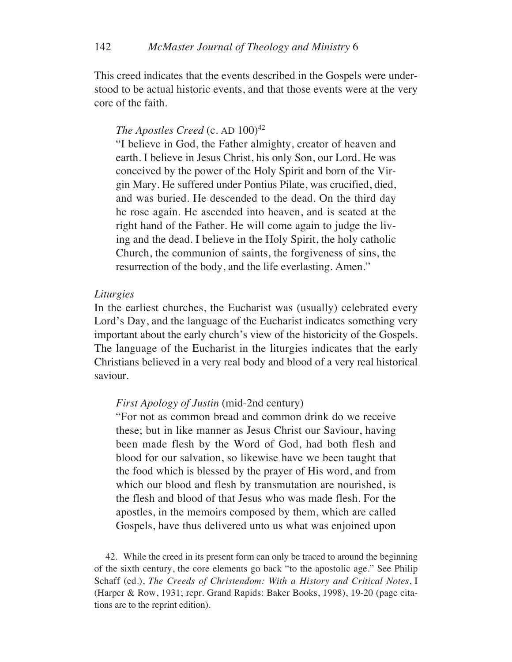This creed indicates that the events described in the Gospels were understood to be actual historic events, and that those events were at the very core of the faith.

# *The Apostles Creed* (c. AD  $100)^{42}$

"I believe in God, the Father almighty, creator of heaven and earth. I believe in Jesus Christ, his only Son, our Lord. He was conceived by the power of the Holy Spirit and born of the Virgin Mary. He suffered under Pontius Pilate, was crucified, died, and was buried. He descended to the dead. On the third day he rose again. He ascended into heaven, and is seated at the right hand of the Father. He will come again to judge the living and the dead. I believe in the Holy Spirit, the holy catholic Church, the communion of saints, the forgiveness of sins, the resurrection of the body, and the life everlasting. Amen."

### *Liturgies*

In the earliest churches, the Eucharist was (usually) celebrated every Lord's Day, and the language of the Eucharist indicates something very important about the early church's view of the historicity of the Gospels. The language of the Eucharist in the liturgies indicates that the early Christians believed in a very real body and blood of a very real historical saviour.

#### *First Apology of Justin* (mid-2nd century)

"For not as common bread and common drink do we receive these; but in like manner as Jesus Christ our Saviour, having been made flesh by the Word of God, had both flesh and blood for our salvation, so likewise have we been taught that the food which is blessed by the prayer of His word, and from which our blood and flesh by transmutation are nourished, is the flesh and blood of that Jesus who was made flesh. For the apostles, in the memoirs composed by them, which are called Gospels, have thus delivered unto us what was enjoined upon

42. While the creed in its present form can only be traced to around the beginning of the sixth century, the core elements go back "to the apostolic age." See Philip Schaff (ed.), *The Creeds of Christendom: With a History and Critical Notes*, I (Harper & Row, 1931; repr. Grand Rapids: Baker Books, 1998), 19-20 (page citations are to the reprint edition).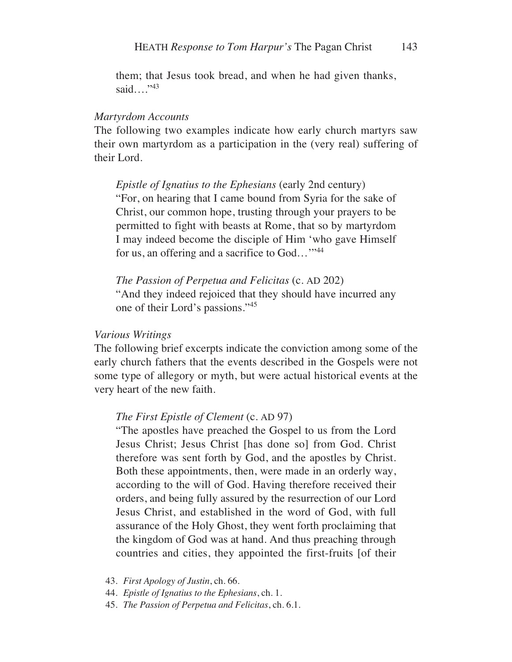them; that Jesus took bread, and when he had given thanks, said…."43

### *Martyrdom Accounts*

The following two examples indicate how early church martyrs saw their own martyrdom as a participation in the (very real) suffering of their Lord.

### *Epistle of Ignatius to the Ephesians* (early 2nd century)

"For, on hearing that I came bound from Syria for the sake of Christ, our common hope, trusting through your prayers to be permitted to fight with beasts at Rome, that so by martyrdom I may indeed become the disciple of Him 'who gave Himself for us, an offering and a sacrifice to God..."<sup>44</sup>

*The Passion of Perpetua and Felicitas* (c. AD 202) "And they indeed rejoiced that they should have incurred any one of their Lord's passions."45

### *Various Writings*

The following brief excerpts indicate the conviction among some of the early church fathers that the events described in the Gospels were not some type of allegory or myth, but were actual historical events at the very heart of the new faith.

#### *The First Epistle of Clement* (c. AD 97)

"The apostles have preached the Gospel to us from the Lord Jesus Christ; Jesus Christ [has done so] from God. Christ therefore was sent forth by God, and the apostles by Christ. Both these appointments, then, were made in an orderly way, according to the will of God. Having therefore received their orders, and being fully assured by the resurrection of our Lord Jesus Christ, and established in the word of God, with full assurance of the Holy Ghost, they went forth proclaiming that the kingdom of God was at hand. And thus preaching through countries and cities, they appointed the first-fruits [of their

- 43. *First Apology of Justin*, ch. 66.
- 44. *Epistle of Ignatius to the Ephesians*, ch. 1.
- 45. *The Passion of Perpetua and Felicitas*, ch. 6.1.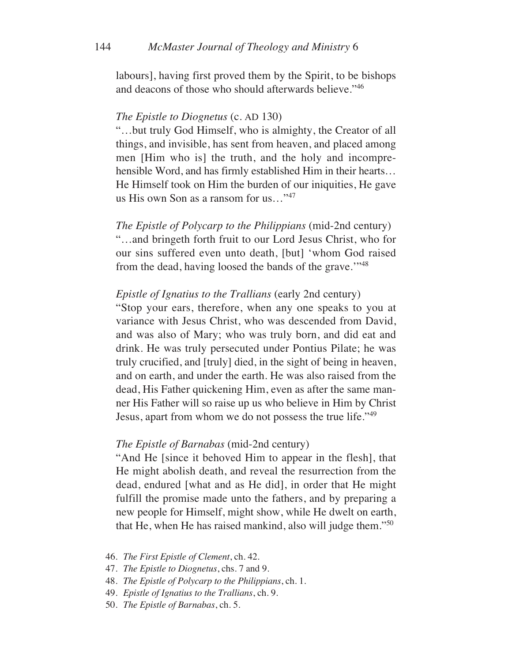labours], having first proved them by the Spirit, to be bishops and deacons of those who should afterwards believe."46

### *The Epistle to Diognetus* (c. AD 130)

"…but truly God Himself, who is almighty, the Creator of all things, and invisible, has sent from heaven, and placed among men [Him who is] the truth, and the holy and incomprehensible Word, and has firmly established Him in their hearts… He Himself took on Him the burden of our iniquities, He gave us His own Son as a ransom for us…"47

*The Epistle of Polycarp to the Philippians* (mid-2nd century) "…and bringeth forth fruit to our Lord Jesus Christ, who for our sins suffered even unto death, [but] 'whom God raised from the dead, having loosed the bands of the grave."<sup>48</sup>

## *Epistle of Ignatius to the Trallians* (early 2nd century)

"Stop your ears, therefore, when any one speaks to you at variance with Jesus Christ, who was descended from David, and was also of Mary; who was truly born, and did eat and drink. He was truly persecuted under Pontius Pilate; he was truly crucified, and [truly] died, in the sight of being in heaven, and on earth, and under the earth. He was also raised from the dead, His Father quickening Him, even as after the same manner His Father will so raise up us who believe in Him by Christ Jesus, apart from whom we do not possess the true life."<sup>49</sup>

### *The Epistle of Barnabas* (mid-2nd century)

"And He [since it behoved Him to appear in the flesh], that He might abolish death, and reveal the resurrection from the dead, endured [what and as He did], in order that He might fulfill the promise made unto the fathers, and by preparing a new people for Himself, might show, while He dwelt on earth, that He, when He has raised mankind, also will judge them."50

- 46. *The First Epistle of Clement*, ch. 42.
- 47. *The Epistle to Diognetus*, chs. 7 and 9.
- 48. *The Epistle of Polycarp to the Philippians*, ch. 1.
- 49. *Epistle of Ignatius to the Trallians*, ch. 9.
- 50. *The Epistle of Barnabas*, ch. 5.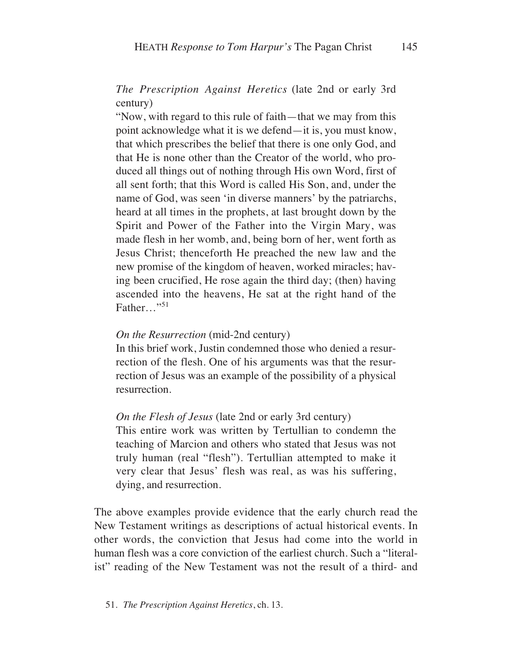# *The Prescription Against Heretics* (late 2nd or early 3rd century)

"Now, with regard to this rule of faith—that we may from this point acknowledge what it is we defend—it is, you must know, that which prescribes the belief that there is one only God, and that He is none other than the Creator of the world, who produced all things out of nothing through His own Word, first of all sent forth; that this Word is called His Son, and, under the name of God, was seen 'in diverse manners' by the patriarchs, heard at all times in the prophets, at last brought down by the Spirit and Power of the Father into the Virgin Mary, was made flesh in her womb, and, being born of her, went forth as Jesus Christ; thenceforth He preached the new law and the new promise of the kingdom of heaven, worked miracles; having been crucified, He rose again the third day; (then) having ascended into the heavens, He sat at the right hand of the Father…"<sup>51</sup>

### *On the Resurrection* (mid-2nd century)

In this brief work, Justin condemned those who denied a resurrection of the flesh. One of his arguments was that the resurrection of Jesus was an example of the possibility of a physical resurrection.

*On the Flesh of Jesus* (late 2nd or early 3rd century)

This entire work was written by Tertullian to condemn the teaching of Marcion and others who stated that Jesus was not truly human (real "flesh"). Tertullian attempted to make it very clear that Jesus' flesh was real, as was his suffering, dying, and resurrection.

The above examples provide evidence that the early church read the New Testament writings as descriptions of actual historical events. In other words, the conviction that Jesus had come into the world in human flesh was a core conviction of the earliest church. Such a "literalist" reading of the New Testament was not the result of a third- and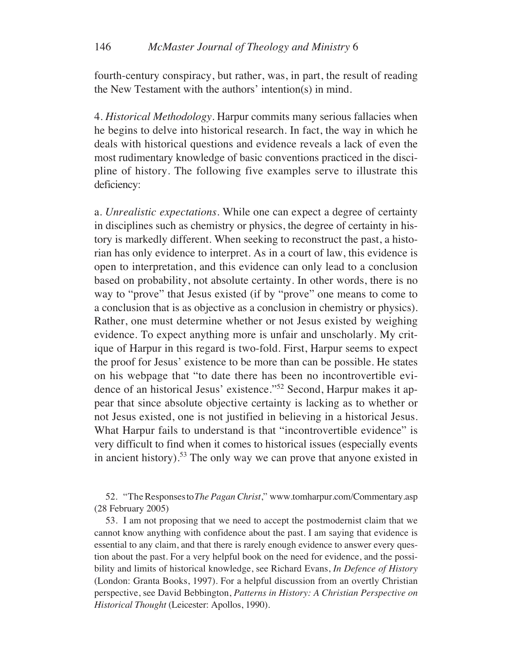fourth-century conspiracy, but rather, was, in part, the result of reading the New Testament with the authors' intention(s) in mind.

4. *Historical Methodology*. Harpur commits many serious fallacies when he begins to delve into historical research. In fact, the way in which he deals with historical questions and evidence reveals a lack of even the most rudimentary knowledge of basic conventions practiced in the discipline of history. The following five examples serve to illustrate this deficiency:

a. *Unrealistic expectations*. While one can expect a degree of certainty in disciplines such as chemistry or physics, the degree of certainty in history is markedly different. When seeking to reconstruct the past, a historian has only evidence to interpret. As in a court of law, this evidence is open to interpretation, and this evidence can only lead to a conclusion based on probability, not absolute certainty. In other words, there is no way to "prove" that Jesus existed (if by "prove" one means to come to a conclusion that is as objective as a conclusion in chemistry or physics). Rather, one must determine whether or not Jesus existed by weighing evidence. To expect anything more is unfair and unscholarly. My critique of Harpur in this regard is two-fold. First, Harpur seems to expect the proof for Jesus' existence to be more than can be possible. He states on his webpage that "to date there has been no incontrovertible evidence of an historical Jesus' existence."52 Second, Harpur makes it appear that since absolute objective certainty is lacking as to whether or not Jesus existed, one is not justified in believing in a historical Jesus. What Harpur fails to understand is that "incontrovertible evidence" is very difficult to find when it comes to historical issues (especially events in ancient history).53 The only way we can prove that anyone existed in

52. "TheResponsesto*The Pagan Christ*," www.tomharpur.com/Commentary.asp (28 February 2005)

53. I am not proposing that we need to accept the postmodernist claim that we cannot know anything with confidence about the past. I am saying that evidence is essential to any claim, and that there is rarely enough evidence to answer every question about the past. For a very helpful book on the need for evidence, and the possibility and limits of historical knowledge, see Richard Evans, *In Defence of History* (London: Granta Books, 1997). For a helpful discussion from an overtly Christian perspective, see David Bebbington, *Patterns in History: A Christian Perspective on Historical Thought* (Leicester: Apollos, 1990).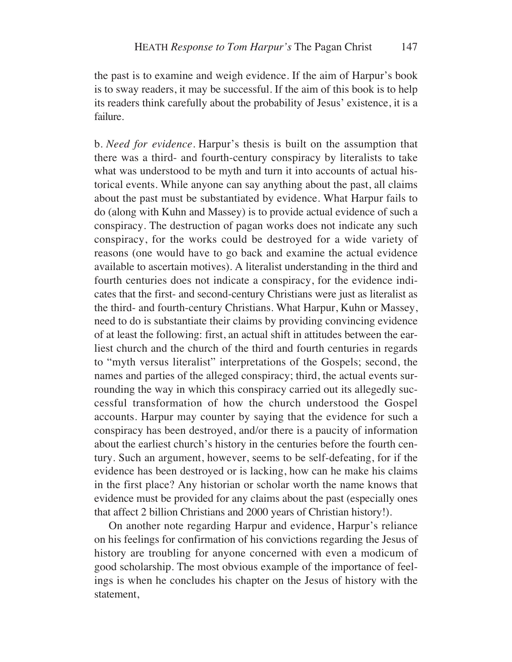the past is to examine and weigh evidence. If the aim of Harpur's book is to sway readers, it may be successful. If the aim of this book is to help its readers think carefully about the probability of Jesus' existence, it is a failure.

b. *Need for evidence*. Harpur's thesis is built on the assumption that there was a third- and fourth-century conspiracy by literalists to take what was understood to be myth and turn it into accounts of actual historical events. While anyone can say anything about the past, all claims about the past must be substantiated by evidence. What Harpur fails to do (along with Kuhn and Massey) is to provide actual evidence of such a conspiracy. The destruction of pagan works does not indicate any such conspiracy, for the works could be destroyed for a wide variety of reasons (one would have to go back and examine the actual evidence available to ascertain motives). A literalist understanding in the third and fourth centuries does not indicate a conspiracy, for the evidence indicates that the first- and second-century Christians were just as literalist as the third- and fourth-century Christians. What Harpur, Kuhn or Massey, need to do is substantiate their claims by providing convincing evidence of at least the following: first, an actual shift in attitudes between the earliest church and the church of the third and fourth centuries in regards to "myth versus literalist" interpretations of the Gospels; second, the names and parties of the alleged conspiracy; third, the actual events surrounding the way in which this conspiracy carried out its allegedly successful transformation of how the church understood the Gospel accounts. Harpur may counter by saying that the evidence for such a conspiracy has been destroyed, and/or there is a paucity of information about the earliest church's history in the centuries before the fourth century. Such an argument, however, seems to be self-defeating, for if the evidence has been destroyed or is lacking, how can he make his claims in the first place? Any historian or scholar worth the name knows that evidence must be provided for any claims about the past (especially ones that affect 2 billion Christians and 2000 years of Christian history!).

On another note regarding Harpur and evidence, Harpur's reliance on his feelings for confirmation of his convictions regarding the Jesus of history are troubling for anyone concerned with even a modicum of good scholarship. The most obvious example of the importance of feelings is when he concludes his chapter on the Jesus of history with the statement,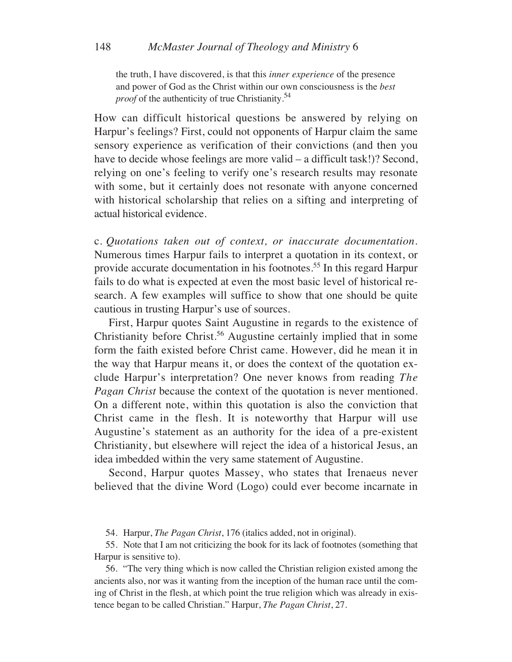the truth, I have discovered, is that this *inner experience* of the presence and power of God as the Christ within our own consciousness is the *best proof* of the authenticity of true Christianity.<sup>54</sup>

How can difficult historical questions be answered by relying on Harpur's feelings? First, could not opponents of Harpur claim the same sensory experience as verification of their convictions (and then you have to decide whose feelings are more valid – a difficult task!)? Second, relying on one's feeling to verify one's research results may resonate with some, but it certainly does not resonate with anyone concerned with historical scholarship that relies on a sifting and interpreting of actual historical evidence.

c. *Quotations taken out of context, or inaccurate documentation*. Numerous times Harpur fails to interpret a quotation in its context, or provide accurate documentation in his footnotes.55 In this regard Harpur fails to do what is expected at even the most basic level of historical research. A few examples will suffice to show that one should be quite cautious in trusting Harpur's use of sources.

First, Harpur quotes Saint Augustine in regards to the existence of Christianity before Christ.<sup>56</sup> Augustine certainly implied that in some form the faith existed before Christ came. However, did he mean it in the way that Harpur means it, or does the context of the quotation exclude Harpur's interpretation? One never knows from reading *The Pagan Christ* because the context of the quotation is never mentioned. On a different note, within this quotation is also the conviction that Christ came in the flesh. It is noteworthy that Harpur will use Augustine's statement as an authority for the idea of a pre-existent Christianity, but elsewhere will reject the idea of a historical Jesus, an idea imbedded within the very same statement of Augustine.

Second, Harpur quotes Massey, who states that Irenaeus never believed that the divine Word (Logo) could ever become incarnate in

54. Harpur, *The Pagan Christ*, 176 (italics added, not in original).

55. Note that I am not criticizing the book for its lack of footnotes (something that Harpur is sensitive to).

56. "The very thing which is now called the Christian religion existed among the ancients also, nor was it wanting from the inception of the human race until the coming of Christ in the flesh, at which point the true religion which was already in existence began to be called Christian." Harpur, *The Pagan Christ*, 27.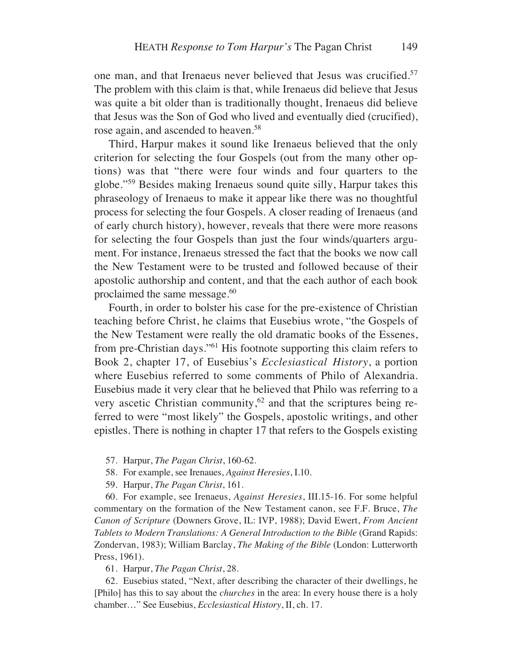one man, and that Irenaeus never believed that Jesus was crucified.57 The problem with this claim is that, while Irenaeus did believe that Jesus was quite a bit older than is traditionally thought, Irenaeus did believe that Jesus was the Son of God who lived and eventually died (crucified), rose again, and ascended to heaven.<sup>58</sup>

Third, Harpur makes it sound like Irenaeus believed that the only criterion for selecting the four Gospels (out from the many other options) was that "there were four winds and four quarters to the globe."59 Besides making Irenaeus sound quite silly, Harpur takes this phraseology of Irenaeus to make it appear like there was no thoughtful process for selecting the four Gospels. A closer reading of Irenaeus (and of early church history), however, reveals that there were more reasons for selecting the four Gospels than just the four winds/quarters argument. For instance, Irenaeus stressed the fact that the books we now call the New Testament were to be trusted and followed because of their apostolic authorship and content, and that the each author of each book proclaimed the same message. $60$ 

Fourth, in order to bolster his case for the pre-existence of Christian teaching before Christ, he claims that Eusebius wrote, "the Gospels of the New Testament were really the old dramatic books of the Essenes, from pre-Christian days."61 His footnote supporting this claim refers to Book 2, chapter 17, of Eusebius's *Ecclesiastical History*, a portion where Eusebius referred to some comments of Philo of Alexandria. Eusebius made it very clear that he believed that Philo was referring to a very ascetic Christian community, $62$  and that the scriptures being referred to were "most likely" the Gospels, apostolic writings, and other epistles. There is nothing in chapter 17 that refers to the Gospels existing

- 57. Harpur, *The Pagan Christ*, 160-62.
- 58. For example, see Irenaues, *Against Heresies*, I.10.
- 59. Harpur, *The Pagan Christ*, 161.

60. For example, see Irenaeus, *Against Heresies*, III.15-16. For some helpful commentary on the formation of the New Testament canon, see F.F. Bruce, *The Canon of Scripture* (Downers Grove, IL: IVP, 1988); David Ewert, *From Ancient Tablets to Modern Translations: A General Introduction to the Bible* (Grand Rapids: Zondervan, 1983); William Barclay, *The Making of the Bible* (London: Lutterworth Press, 1961).

61. Harpur, *The Pagan Christ*, 28.

62. Eusebius stated, "Next, after describing the character of their dwellings, he [Philo] has this to say about the *churches* in the area: In every house there is a holy chamber…" See Eusebius, *Ecclesiastical History*, II, ch. 17.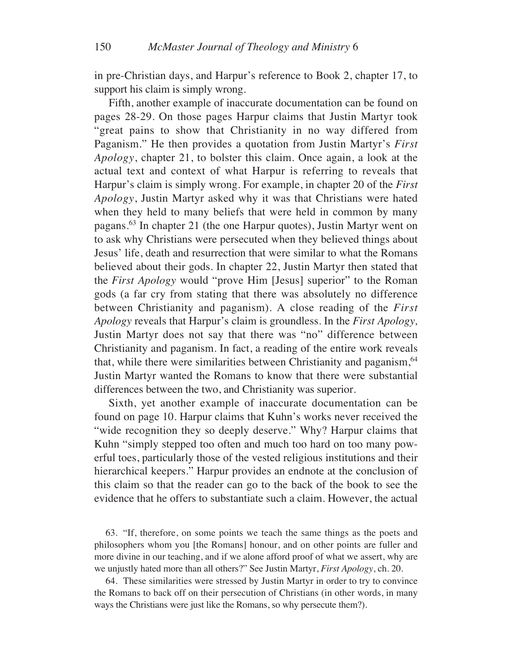in pre-Christian days, and Harpur's reference to Book 2, chapter 17, to support his claim is simply wrong.

Fifth, another example of inaccurate documentation can be found on pages 28-29. On those pages Harpur claims that Justin Martyr took "great pains to show that Christianity in no way differed from Paganism." He then provides a quotation from Justin Martyr's *First Apology*, chapter 21, to bolster this claim. Once again, a look at the actual text and context of what Harpur is referring to reveals that Harpur's claim is simply wrong. For example, in chapter 20 of the *First Apology*, Justin Martyr asked why it was that Christians were hated when they held to many beliefs that were held in common by many pagans.63 In chapter 21 (the one Harpur quotes), Justin Martyr went on to ask why Christians were persecuted when they believed things about Jesus' life, death and resurrection that were similar to what the Romans believed about their gods. In chapter 22, Justin Martyr then stated that the *First Apology* would "prove Him [Jesus] superior" to the Roman gods (a far cry from stating that there was absolutely no difference between Christianity and paganism). A close reading of the *First Apology* reveals that Harpur's claim is groundless. In the *First Apology,* Justin Martyr does not say that there was "no" difference between Christianity and paganism. In fact, a reading of the entire work reveals that, while there were similarities between Christianity and paganism, <sup>64</sup> Justin Martyr wanted the Romans to know that there were substantial differences between the two, and Christianity was superior.

Sixth, yet another example of inaccurate documentation can be found on page 10. Harpur claims that Kuhn's works never received the "wide recognition they so deeply deserve." Why? Harpur claims that Kuhn "simply stepped too often and much too hard on too many powerful toes, particularly those of the vested religious institutions and their hierarchical keepers." Harpur provides an endnote at the conclusion of this claim so that the reader can go to the back of the book to see the evidence that he offers to substantiate such a claim. However, the actual

63. "If, therefore, on some points we teach the same things as the poets and philosophers whom you [the Romans] honour, and on other points are fuller and more divine in our teaching, and if we alone afford proof of what we assert, why are we unjustly hated more than all others?" See Justin Martyr, *First Apology*, ch. 20.

64. These similarities were stressed by Justin Martyr in order to try to convince the Romans to back off on their persecution of Christians (in other words, in many ways the Christians were just like the Romans, so why persecute them?).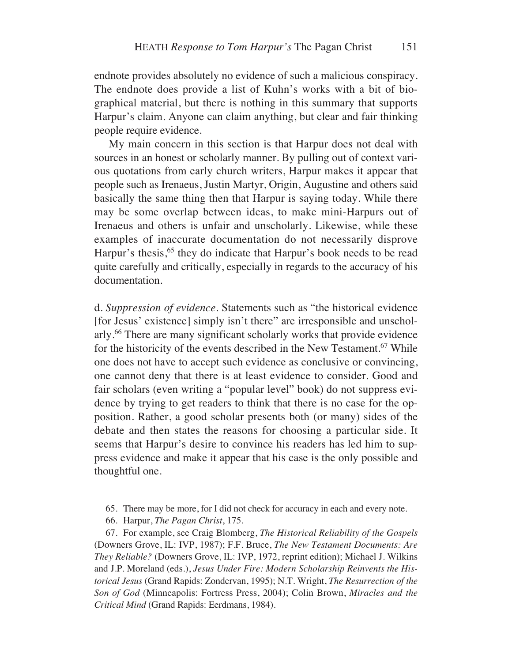endnote provides absolutely no evidence of such a malicious conspiracy. The endnote does provide a list of Kuhn's works with a bit of biographical material, but there is nothing in this summary that supports Harpur's claim. Anyone can claim anything, but clear and fair thinking people require evidence.

My main concern in this section is that Harpur does not deal with sources in an honest or scholarly manner. By pulling out of context various quotations from early church writers, Harpur makes it appear that people such as Irenaeus, Justin Martyr, Origin, Augustine and others said basically the same thing then that Harpur is saying today. While there may be some overlap between ideas, to make mini-Harpurs out of Irenaeus and others is unfair and unscholarly. Likewise, while these examples of inaccurate documentation do not necessarily disprove Harpur's thesis,<sup>65</sup> they do indicate that Harpur's book needs to be read quite carefully and critically, especially in regards to the accuracy of his documentation.

d. *Suppression of evidence*. Statements such as "the historical evidence [for Jesus' existence] simply isn't there" are irresponsible and unscholarly.66 There are many significant scholarly works that provide evidence for the historicity of the events described in the New Testament.<sup>67</sup> While one does not have to accept such evidence as conclusive or convincing, one cannot deny that there is at least evidence to consider. Good and fair scholars (even writing a "popular level" book) do not suppress evidence by trying to get readers to think that there is no case for the opposition. Rather, a good scholar presents both (or many) sides of the debate and then states the reasons for choosing a particular side. It seems that Harpur's desire to convince his readers has led him to suppress evidence and make it appear that his case is the only possible and thoughtful one.

- 65. There may be more, for I did not check for accuracy in each and every note.
- 66. Harpur, *The Pagan Christ*, 175.

67. For example, see Craig Blomberg, *The Historical Reliability of the Gospels* (Downers Grove, IL: IVP, 1987); F.F. Bruce, *The New Testament Documents: Are They Reliable?* (Downers Grove, IL: IVP, 1972, reprint edition); Michael J. Wilkins and J.P. Moreland (eds.), *Jesus Under Fire: Modern Scholarship Reinvents the Historical Jesus* (Grand Rapids: Zondervan, 1995); N.T. Wright, *The Resurrection of the Son of God* (Minneapolis: Fortress Press, 2004); Colin Brown, *Miracles and the Critical Mind* (Grand Rapids: Eerdmans, 1984).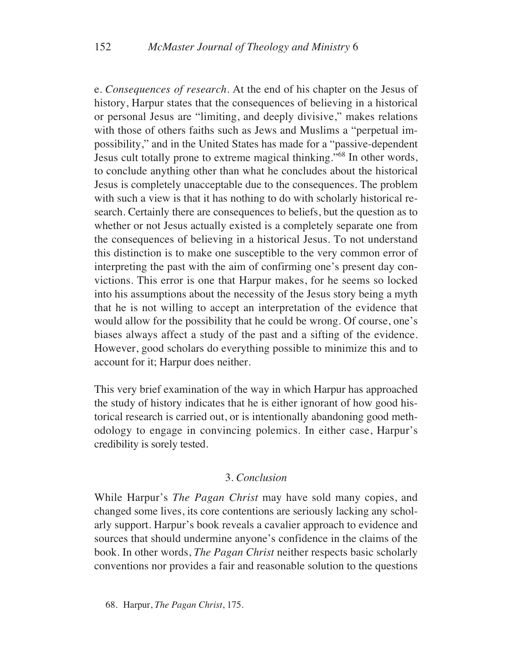e. *Consequences of research*. At the end of his chapter on the Jesus of history, Harpur states that the consequences of believing in a historical or personal Jesus are "limiting, and deeply divisive," makes relations with those of others faiths such as Jews and Muslims a "perpetual impossibility," and in the United States has made for a "passive-dependent Jesus cult totally prone to extreme magical thinking."68 In other words, to conclude anything other than what he concludes about the historical Jesus is completely unacceptable due to the consequences. The problem with such a view is that it has nothing to do with scholarly historical research. Certainly there are consequences to beliefs, but the question as to whether or not Jesus actually existed is a completely separate one from the consequences of believing in a historical Jesus. To not understand this distinction is to make one susceptible to the very common error of interpreting the past with the aim of confirming one's present day convictions. This error is one that Harpur makes, for he seems so locked into his assumptions about the necessity of the Jesus story being a myth that he is not willing to accept an interpretation of the evidence that would allow for the possibility that he could be wrong. Of course, one's biases always affect a study of the past and a sifting of the evidence. However, good scholars do everything possible to minimize this and to account for it; Harpur does neither.

This very brief examination of the way in which Harpur has approached the study of history indicates that he is either ignorant of how good historical research is carried out, or is intentionally abandoning good methodology to engage in convincing polemics. In either case, Harpur's credibility is sorely tested.

## 3. *Conclusion*

While Harpur's *The Pagan Christ* may have sold many copies, and changed some lives, its core contentions are seriously lacking any scholarly support. Harpur's book reveals a cavalier approach to evidence and sources that should undermine anyone's confidence in the claims of the book. In other words, *The Pagan Christ* neither respects basic scholarly conventions nor provides a fair and reasonable solution to the questions

68. Harpur, *The Pagan Christ*, 175.